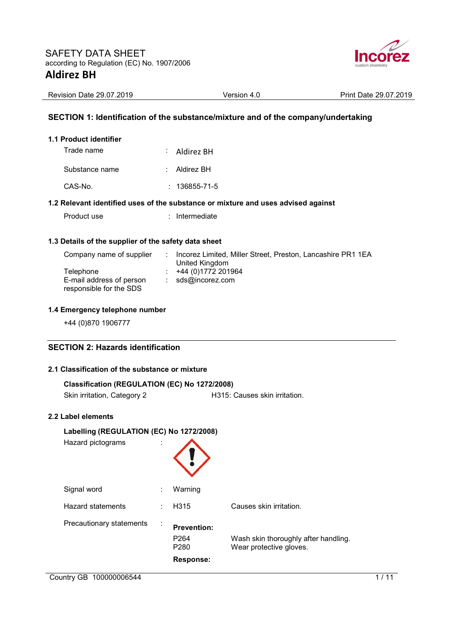

| Revision Date 29.07.2019 | Version 4.0 | Print Date 29.07.2019 |
|--------------------------|-------------|-----------------------|

# **SECTION 1: Identification of the substance/mixture and of the company/undertaking**

## **1.1 Product identifier**

| Trade name     | $\therefore$ Aldirez BH |
|----------------|-------------------------|
| Substance name | : Aldirez BH            |
| CAS-No.        | $: 136855 - 71 - 5$     |

# **1.2 Relevant identified uses of the substance or mixture and uses advised against**

Product use : Intermediate

## **1.3 Details of the supplier of the safety data sheet**

| Company name of supplier | Incorez Limited, Miller Street, Preston, Lancashire PR1 1EA |
|--------------------------|-------------------------------------------------------------|
|                          | United Kingdom                                              |
| Telephone                | $\div$ +44 (0)1772 201964                                   |
| E-mail address of person | $:$ sds@incorez.com                                         |
| responsible for the SDS  |                                                             |

## **1.4 Emergency telephone number**

+44 (0)870 1906777

# **SECTION 2: Hazards identification**

# **2.1 Classification of the substance or mixture**

| Classification (REGULATION (EC) No 1272/2008) |                     |
|-----------------------------------------------|---------------------|
|                                               | $\overline{110450}$ |

Skin irritation, Category 2 **H315: Causes skin irritation.** 

# **2.2 Label elements**

| Labelling (REGULATION (EC) No 1272/2008) |              |                                                                         |                                                                 |
|------------------------------------------|--------------|-------------------------------------------------------------------------|-----------------------------------------------------------------|
| Hazard pictograms                        |              |                                                                         |                                                                 |
| Signal word                              |              | Warning                                                                 |                                                                 |
| Hazard statements                        |              | H <sub>315</sub>                                                        | Causes skin irritation.                                         |
| Precautionary statements                 | $\mathbf{r}$ | <b>Prevention:</b><br>P <sub>264</sub><br>P <sub>280</sub><br>Response: | Wash skin thoroughly after handling.<br>Wear protective gloves. |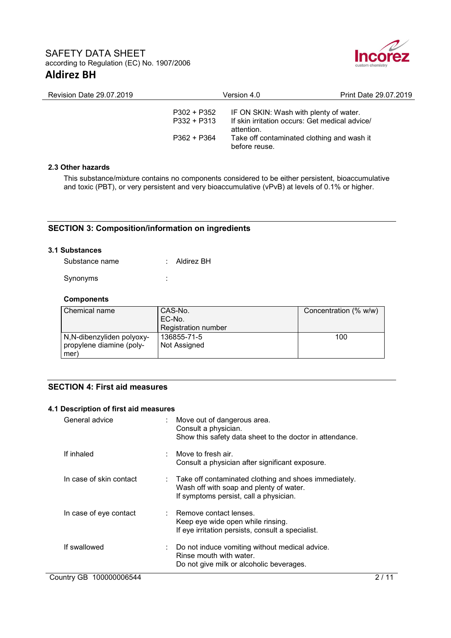

| <b>Revision Date 29.07.2019</b> | Version 4.0                                   |                                                                                                                                                                       | Print Date 29.07.2019 |
|---------------------------------|-----------------------------------------------|-----------------------------------------------------------------------------------------------------------------------------------------------------------------------|-----------------------|
|                                 | P302 + P352<br>$P332 + P313$<br>$P362 + P364$ | IF ON SKIN: Wash with plenty of water.<br>If skin irritation occurs: Get medical advice/<br>attention.<br>Take off contaminated clothing and wash it<br>before reuse. |                       |
|                                 |                                               |                                                                                                                                                                       |                       |

# **2.3 Other hazards**

This substance/mixture contains no components considered to be either persistent, bioaccumulative and toxic (PBT), or very persistent and very bioaccumulative (vPvB) at levels of 0.1% or higher.

# **SECTION 3: Composition/information on ingredients**

#### **3.1 Substances**

| Substance name | $\therefore$ Aldirez BH |
|----------------|-------------------------|
| Synonyms       |                         |

#### **Components**

| l Chemical name           | CAS-No.                    | Concentration (% w/w) |
|---------------------------|----------------------------|-----------------------|
|                           | EC-No.                     |                       |
|                           | <b>Registration number</b> |                       |
| N,N-dibenzyliden polyoxy- | 136855-71-5                | 100                   |
| propylene diamine (poly-  | Not Assigned               |                       |
| mer)                      |                            |                       |

# **SECTION 4: First aid measures**

## **4.1 Description of first aid measures**

| General advice          | : Move out of dangerous area.<br>Consult a physician.<br>Show this safety data sheet to the doctor in attendance.                                       |  |
|-------------------------|---------------------------------------------------------------------------------------------------------------------------------------------------------|--|
| If inhaled              | $\therefore$ Move to fresh air.<br>Consult a physician after significant exposure.                                                                      |  |
| In case of skin contact | $\therefore$ Take off contaminated clothing and shoes immediately.<br>Wash off with soap and plenty of water.<br>If symptoms persist, call a physician. |  |
| In case of eye contact  | $\therefore$ Remove contact lenses.<br>Keep eye wide open while rinsing.<br>If eye irritation persists, consult a specialist.                           |  |
| If swallowed            | Do not induce vomiting without medical advice.<br>Rinse mouth with water.<br>Do not give milk or alcoholic beverages.                                   |  |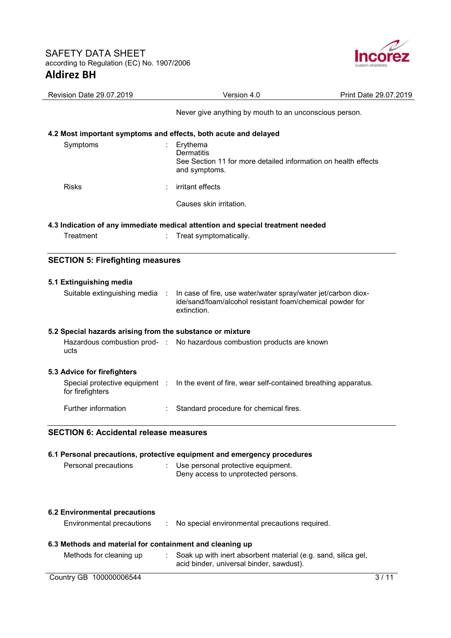

| Revision Date 29.07.2019                                  | Version 4.0                                                                                                                              | Print Date 29.07.2019 |
|-----------------------------------------------------------|------------------------------------------------------------------------------------------------------------------------------------------|-----------------------|
|                                                           | Never give anything by mouth to an unconscious person.                                                                                   |                       |
|                                                           | 4.2 Most important symptoms and effects, both acute and delayed                                                                          |                       |
| Symptoms                                                  | Erythema<br><b>Dermatitis</b><br>See Section 11 for more detailed information on health effects<br>and symptoms.                         |                       |
| <b>Risks</b>                                              | irritant effects                                                                                                                         |                       |
|                                                           | Causes skin irritation.                                                                                                                  |                       |
|                                                           | 4.3 Indication of any immediate medical attention and special treatment needed                                                           |                       |
| Treatment                                                 | Treat symptomatically.                                                                                                                   |                       |
| <b>SECTION 5: Firefighting measures</b>                   |                                                                                                                                          |                       |
| 5.1 Extinguishing media                                   |                                                                                                                                          |                       |
| Suitable extinguishing media :                            | In case of fire, use water/water spray/water jet/carbon diox-<br>ide/sand/foam/alcohol resistant foam/chemical powder for<br>extinction. |                       |
| 5.2 Special hazards arising from the substance or mixture |                                                                                                                                          |                       |
| ucts                                                      | Hazardous combustion prod- : No hazardous combustion products are known                                                                  |                       |
| 5.3 Advice for firefighters                               |                                                                                                                                          |                       |
| for firefighters                                          | Special protective equipment : In the event of fire, wear self-contained breathing apparatus.                                            |                       |
| Further information                                       | Standard procedure for chemical fires.                                                                                                   |                       |
| <b>SECTION 6: Accidental release measures</b>             |                                                                                                                                          |                       |
|                                                           | 6.1 Personal precautions, protective equipment and emergency procedures                                                                  |                       |
| Personal precautions                                      | Use personal protective equipment.<br>Deny access to unprotected persons.                                                                |                       |
|                                                           |                                                                                                                                          |                       |
| <b>6.2 Environmental precautions</b>                      |                                                                                                                                          |                       |
| Environmental precautions                                 | No special environmental precautions required.                                                                                           |                       |
| 6.3 Methods and material for containment and cleaning up  |                                                                                                                                          |                       |
| Methods for cleaning up                                   | Soak up with inert absorbent material (e.g. sand, silica gel,<br>acid binder, universal binder, sawdust).                                |                       |
| Country GB 100000006544                                   |                                                                                                                                          | 3/11                  |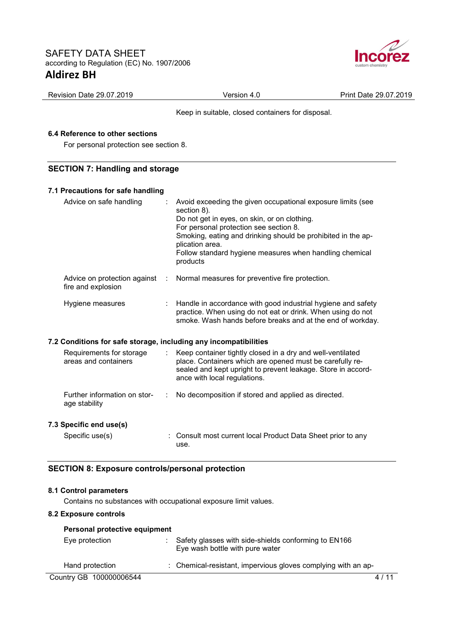

| Revision Date 29.07.2019                                         | Version 4.0                                                                                                                                                                                                                                                                                                                    | Print Date 29.07.2019 |
|------------------------------------------------------------------|--------------------------------------------------------------------------------------------------------------------------------------------------------------------------------------------------------------------------------------------------------------------------------------------------------------------------------|-----------------------|
|                                                                  | Keep in suitable, closed containers for disposal.                                                                                                                                                                                                                                                                              |                       |
| 6.4 Reference to other sections                                  |                                                                                                                                                                                                                                                                                                                                |                       |
| For personal protection see section 8.                           |                                                                                                                                                                                                                                                                                                                                |                       |
| <b>SECTION 7: Handling and storage</b>                           |                                                                                                                                                                                                                                                                                                                                |                       |
| 7.1 Precautions for safe handling                                |                                                                                                                                                                                                                                                                                                                                |                       |
| Advice on safe handling                                          | Avoid exceeding the given occupational exposure limits (see<br>section 8).<br>Do not get in eyes, on skin, or on clothing.<br>For personal protection see section 8.<br>Smoking, eating and drinking should be prohibited in the ap-<br>plication area.<br>Follow standard hygiene measures when handling chemical<br>products |                       |
| Advice on protection against<br>fire and explosion               | Normal measures for preventive fire protection.<br>$\mathbb{R}^n$                                                                                                                                                                                                                                                              |                       |
| Hygiene measures                                                 | Handle in accordance with good industrial hygiene and safety<br>practice. When using do not eat or drink. When using do not<br>smoke. Wash hands before breaks and at the end of workday.                                                                                                                                      |                       |
| 7.2 Conditions for safe storage, including any incompatibilities |                                                                                                                                                                                                                                                                                                                                |                       |
| Requirements for storage<br>areas and containers                 | Keep container tightly closed in a dry and well-ventilated<br>place. Containers which are opened must be carefully re-<br>sealed and kept upright to prevent leakage. Store in accord-<br>ance with local regulations.                                                                                                         |                       |
| Further information on stor-<br>age stability                    | No decomposition if stored and applied as directed.                                                                                                                                                                                                                                                                            |                       |
| 7.3 Specific end use(s)                                          |                                                                                                                                                                                                                                                                                                                                |                       |
| Specific use(s)                                                  | Consult most current local Product Data Sheet prior to any<br>use.                                                                                                                                                                                                                                                             |                       |
| <b>SECTION 8: Exposure controls/personal protection</b>          |                                                                                                                                                                                                                                                                                                                                |                       |
| 8.1 Control parameters                                           | Contains no substances with occupational exposure limit values.                                                                                                                                                                                                                                                                |                       |

# **8.2 Exposure controls**

| Personal protective equipment |                                                                                         |
|-------------------------------|-----------------------------------------------------------------------------------------|
| Eye protection                | Safety glasses with side-shields conforming to EN166<br>Eye wash bottle with pure water |
| Hand protection               | : Chemical-resistant, impervious gloves complying with an ap-                           |
| Country GB 100000006544       | 4/11                                                                                    |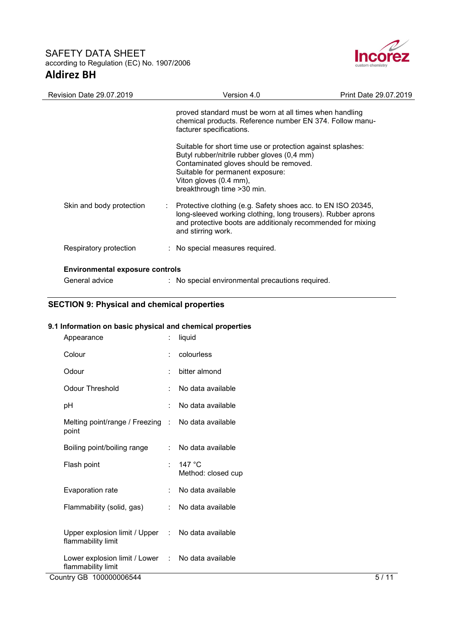

| <b>Revision Date 29.07.2019</b>        | Version 4.0                                                                                                                                                                                                                                       | Print Date 29.07.2019 |
|----------------------------------------|---------------------------------------------------------------------------------------------------------------------------------------------------------------------------------------------------------------------------------------------------|-----------------------|
|                                        | proved standard must be worn at all times when handling<br>chemical products. Reference number EN 374. Follow manu-<br>facturer specifications.                                                                                                   |                       |
|                                        | Suitable for short time use or protection against splashes:<br>Butyl rubber/nitrile rubber gloves (0,4 mm)<br>Contaminated gloves should be removed.<br>Suitable for permanent exposure:<br>Viton gloves (0.4 mm),<br>breakthrough time > 30 min. |                       |
| Skin and body protection               | $\therefore$ Protective clothing (e.g. Safety shoes acc. to EN ISO 20345,<br>long-sleeved working clothing, long trousers). Rubber aprons<br>and protective boots are additionaly recommended for mixing<br>and stirring work.                    |                       |
| Respiratory protection                 | : No special measures required.                                                                                                                                                                                                                   |                       |
| <b>Environmental exposure controls</b> |                                                                                                                                                                                                                                                   |                       |
| General advice                         | : No special environmental precautions required.                                                                                                                                                                                                  |                       |

# **SECTION 9: Physical and chemical properties**

# **9.1 Information on basic physical and chemical properties**

| Appearance                                                              |   | liquid                                 |      |
|-------------------------------------------------------------------------|---|----------------------------------------|------|
| Colour                                                                  |   | colourless                             |      |
| Odour                                                                   |   | bitter almond                          |      |
| <b>Odour Threshold</b>                                                  | ÷ | No data available                      |      |
| pH                                                                      |   | No data available                      |      |
| Melting point/range / Freezing : No data available<br>point             |   |                                        |      |
| Boiling point/boiling range                                             | ÷ | No data available                      |      |
| Flash point                                                             | ÷ | 147 $^{\circ}$ C<br>Method: closed cup |      |
| Evaporation rate                                                        |   | No data available                      |      |
| Flammability (solid, gas)                                               | ÷ | No data available                      |      |
| Upper explosion limit / Upper : No data available<br>flammability limit |   |                                        |      |
| Lower explosion limit / Lower : No data available<br>flammability limit |   |                                        |      |
| Country GB 100000006544                                                 |   |                                        | 5/11 |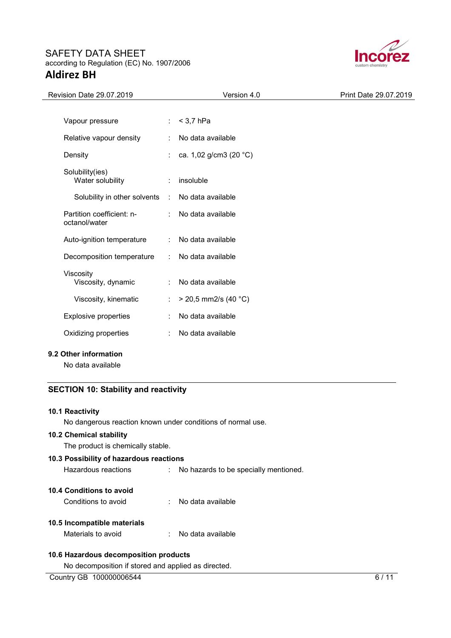# SAFETY DATA SHEET according to Regulation (EC) No. 1907/2006 **Aldirez BH**



| Revision Date 29.07.2019                   |                      | Version 4.0            | Print Date 29.07.2019 |
|--------------------------------------------|----------------------|------------------------|-----------------------|
|                                            |                      |                        |                       |
| Vapour pressure                            | ÷                    | $<$ 3,7 hPa            |                       |
| Relative vapour density                    | ÷                    | No data available      |                       |
| Density                                    | ÷                    | ca. 1,02 g/cm3 (20 °C) |                       |
| Solubility(ies)<br>Water solubility        | ÷                    | insoluble              |                       |
| Solubility in other solvents               | $\cdot$              | No data available      |                       |
| Partition coefficient: n-<br>octanol/water |                      | No data available      |                       |
| Auto-ignition temperature                  | ÷                    | No data available      |                       |
| Decomposition temperature                  | ÷                    | No data available      |                       |
| Viscosity<br>Viscosity, dynamic            | $\ddot{\phantom{a}}$ | No data available      |                       |
| Viscosity, kinematic                       | İ.                   | $>$ 20,5 mm2/s (40 °C) |                       |
| <b>Explosive properties</b>                | ÷                    | No data available      |                       |
| Oxidizing properties                       | $\ddot{\phantom{a}}$ | No data available      |                       |
| 9.2 Other information<br>No data available |                      |                        |                       |

# **SECTION 10: Stability and reactivity**

# **10.1 Reactivity**

No dangerous reaction known under conditions of normal use.

# **10.2 Chemical stability**

The product is chemically stable.

# **10.3 Possibility of hazardous reactions**  Hazardous reactions : No hazards to be specially mentioned. **10.4 Conditions to avoid**  Conditions to avoid : No data available **10.5 Incompatible materials**  Materials to avoid : No data available

## **10.6 Hazardous decomposition products**

No decomposition if stored and applied as directed.

Country GB 100000006544 6/11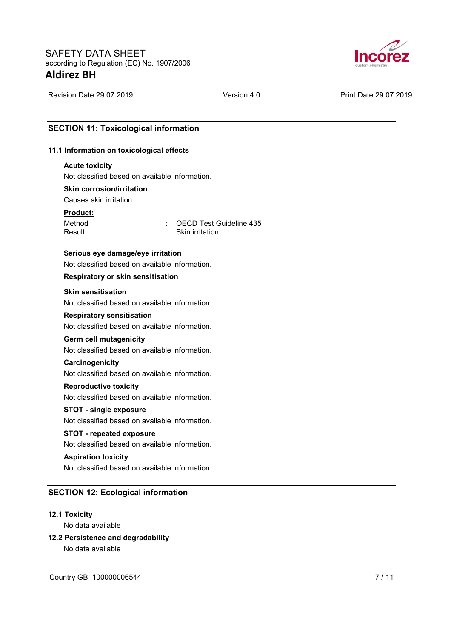

Revision Date 29.07.2019 Version 4.0 Print Date 29.07.2019

## **SECTION 11: Toxicological information**

#### **11.1 Information on toxicological effects**

#### **Acute toxicity**

Not classified based on available information.

#### **Skin corrosion/irritation**

Causes skin irritation.

#### **Product:**

Method : OECD Test Guideline 435 Result : Skin irritation

#### **Serious eye damage/eye irritation**

Not classified based on available information.

## **Respiratory or skin sensitisation**

#### **Skin sensitisation**

Not classified based on available information.

#### **Respiratory sensitisation**

Not classified based on available information.

#### **Germ cell mutagenicity**

Not classified based on available information.

#### **Carcinogenicity**

Not classified based on available information.

#### **Reproductive toxicity**

Not classified based on available information.

## **STOT - single exposure**

Not classified based on available information.

#### **STOT - repeated exposure**

Not classified based on available information.

#### **Aspiration toxicity**

Not classified based on available information.

## **SECTION 12: Ecological information**

#### **12.1 Toxicity**

No data available

#### **12.2 Persistence and degradability**

No data available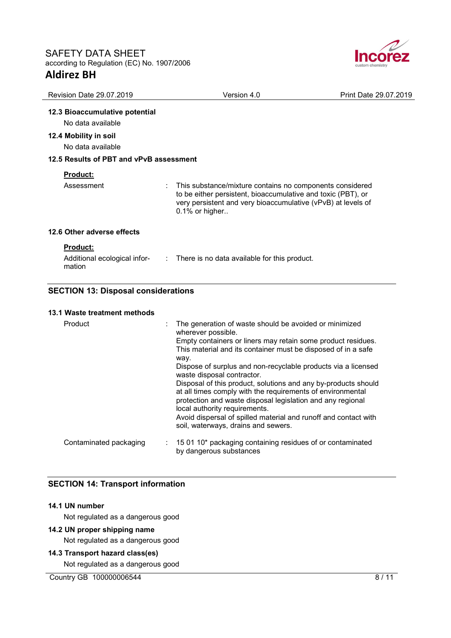

| <b>Revision Date 29.07.2019</b>                                                                   | Version 4.0                                                                                                                                                                                                | Print Date 29.07.2019 |
|---------------------------------------------------------------------------------------------------|------------------------------------------------------------------------------------------------------------------------------------------------------------------------------------------------------------|-----------------------|
| 12.3 Bioaccumulative potential<br>No data available<br>12.4 Mobility in soil<br>No data available |                                                                                                                                                                                                            |                       |
| 12.5 Results of PBT and vPvB assessment                                                           |                                                                                                                                                                                                            |                       |
| <b>Product:</b><br>Assessment                                                                     | This substance/mixture contains no components considered<br>to be either persistent, bioaccumulative and toxic (PBT), or<br>very persistent and very bioaccumulative (vPvB) at levels of<br>0.1% or higher |                       |
| 12.6 Other adverse effects                                                                        |                                                                                                                                                                                                            |                       |
| <b>Product:</b><br>Additional ecological infor-<br>mation                                         | : There is no data available for this product.                                                                                                                                                             |                       |
|                                                                                                   |                                                                                                                                                                                                            |                       |

# **SECTION 13: Disposal considerations**

## **13.1 Waste treatment methods**

| Product                | The generation of waste should be avoided or minimized<br>wherever possible.<br>Empty containers or liners may retain some product residues.<br>This material and its container must be disposed of in a safe<br>way.<br>Dispose of surplus and non-recyclable products via a licensed<br>waste disposal contractor.<br>Disposal of this product, solutions and any by-products should<br>at all times comply with the requirements of environmental |  |
|------------------------|------------------------------------------------------------------------------------------------------------------------------------------------------------------------------------------------------------------------------------------------------------------------------------------------------------------------------------------------------------------------------------------------------------------------------------------------------|--|
|                        | protection and waste disposal legislation and any regional<br>local authority requirements.<br>Avoid dispersal of spilled material and runoff and contact with<br>soil, waterways, drains and sewers.                                                                                                                                                                                                                                                |  |
| Contaminated packaging | 15 01 10* packaging containing residues of or contaminated<br>by dangerous substances                                                                                                                                                                                                                                                                                                                                                                |  |

# **SECTION 14: Transport information**

# **14.1 UN number**

Not regulated as a dangerous good

# **14.2 UN proper shipping name**

Not regulated as a dangerous good

# **14.3 Transport hazard class(es)**

Not regulated as a dangerous good

Country GB 100000006544 8/11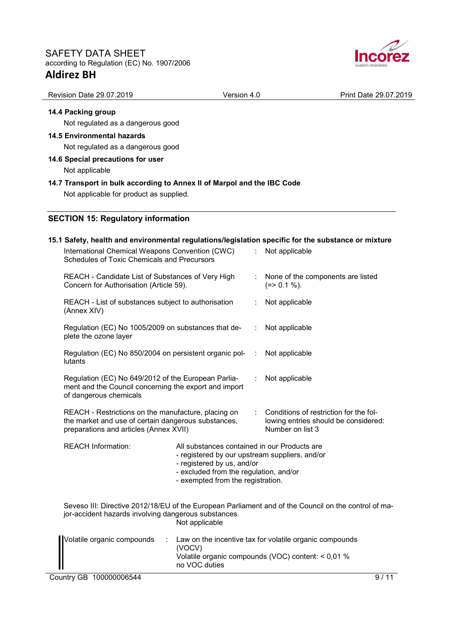

| <b>Revision Date 29.07.2019</b>                                                                                                                              | Version 4.0                                                                                                                                                                                                 |                                                                                                    | Print Date 29.07.2019 |
|--------------------------------------------------------------------------------------------------------------------------------------------------------------|-------------------------------------------------------------------------------------------------------------------------------------------------------------------------------------------------------------|----------------------------------------------------------------------------------------------------|-----------------------|
| 14.4 Packing group                                                                                                                                           |                                                                                                                                                                                                             |                                                                                                    |                       |
| Not regulated as a dangerous good                                                                                                                            |                                                                                                                                                                                                             |                                                                                                    |                       |
| <b>14.5 Environmental hazards</b>                                                                                                                            |                                                                                                                                                                                                             |                                                                                                    |                       |
| Not regulated as a dangerous good                                                                                                                            |                                                                                                                                                                                                             |                                                                                                    |                       |
| 14.6 Special precautions for user                                                                                                                            |                                                                                                                                                                                                             |                                                                                                    |                       |
| Not applicable                                                                                                                                               |                                                                                                                                                                                                             |                                                                                                    |                       |
| 14.7 Transport in bulk according to Annex II of Marpol and the IBC Code<br>Not applicable for product as supplied.                                           |                                                                                                                                                                                                             |                                                                                                    |                       |
| <b>SECTION 15: Regulatory information</b>                                                                                                                    |                                                                                                                                                                                                             |                                                                                                    |                       |
| 15.1 Safety, health and environmental regulations/legislation specific for the substance or mixture                                                          |                                                                                                                                                                                                             |                                                                                                    |                       |
| International Chemical Weapons Convention (CWC)<br><b>Schedules of Toxic Chemicals and Precursors</b>                                                        |                                                                                                                                                                                                             | Not applicable                                                                                     |                       |
| REACH - Candidate List of Substances of Very High<br>Concern for Authorisation (Article 59).                                                                 |                                                                                                                                                                                                             | None of the components are listed<br>$(=>0.1\%).$                                                  |                       |
| REACH - List of substances subject to authorisation<br>(Annex XIV)                                                                                           |                                                                                                                                                                                                             | Not applicable                                                                                     |                       |
| Regulation (EC) No 1005/2009 on substances that de-<br>plete the ozone layer                                                                                 |                                                                                                                                                                                                             | Not applicable                                                                                     |                       |
| Regulation (EC) No 850/2004 on persistent organic pol-<br>lutants                                                                                            |                                                                                                                                                                                                             | Not applicable                                                                                     |                       |
| Regulation (EC) No 649/2012 of the European Parlia-<br>ment and the Council concerning the export and import<br>of dangerous chemicals                       |                                                                                                                                                                                                             | Not applicable                                                                                     |                       |
| REACH - Restrictions on the manufacture, placing on<br>the market and use of certain dangerous substances,<br>preparations and articles (Annex XVII)         |                                                                                                                                                                                                             | Conditions of restriction for the fol-<br>lowing entries should be considered:<br>Number on list 3 |                       |
| <b>REACH Information:</b>                                                                                                                                    | All substances contained in our Products are<br>- registered by our upstream suppliers, and/or<br>- registered by us, and/or<br>- excluded from the regulation, and/or<br>- exempted from the registration. |                                                                                                    |                       |
| Seveso III: Directive 2012/18/EU of the European Parliament and of the Council on the control of ma-<br>jor-accident hazards involving dangerous substances. | Not applicable                                                                                                                                                                                              |                                                                                                    |                       |
| /olatile organic compounds                                                                                                                                   | Law on the incentive tax for volatile organic compounds<br>(VOCV)<br>Volatile organic compounds (VOC) content: < 0,01 %<br>no VOC duties                                                                    |                                                                                                    |                       |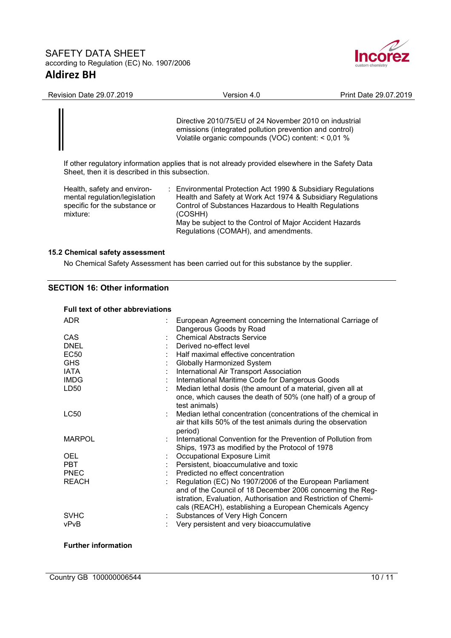# SAFETY DATA SHEET according to Regulation (EC) No. 1907/2006 **Aldirez BH**



| <b>Revision Date 29.07.2019</b>                                                                           | Version 4.0                                                                                                                                                                                                                                                                                        | Print Date 29.07.2019 |
|-----------------------------------------------------------------------------------------------------------|----------------------------------------------------------------------------------------------------------------------------------------------------------------------------------------------------------------------------------------------------------------------------------------------------|-----------------------|
|                                                                                                           | Directive 2010/75/EU of 24 November 2010 on industrial<br>emissions (integrated pollution prevention and control)<br>Volatile organic compounds (VOC) content: < 0,01 %                                                                                                                            |                       |
| Sheet, then it is described in this subsection.                                                           | If other regulatory information applies that is not already provided elsewhere in the Safety Data                                                                                                                                                                                                  |                       |
| Health, safety and environ-<br>mental regulation/legislation<br>specific for the substance or<br>mixture: | : Environmental Protection Act 1990 & Subsidiary Regulations<br>Health and Safety at Work Act 1974 & Subsidiary Regulations<br>Control of Substances Hazardous to Health Regulations<br>(COSHH)<br>May be subject to the Control of Major Accident Hazards<br>Regulations (COMAH), and amendments. |                       |

## **15.2 Chemical safety assessment**

No Chemical Safety Assessment has been carried out for this substance by the supplier.

# **SECTION 16: Other information**

#### **Full text of other abbreviations**

| <b>ADR</b>                                                                     | European Agreement concerning the International Carriage of<br>Dangerous Goods by Road                                                                                                                                                                                                                                                                                 |
|--------------------------------------------------------------------------------|------------------------------------------------------------------------------------------------------------------------------------------------------------------------------------------------------------------------------------------------------------------------------------------------------------------------------------------------------------------------|
| CAS<br><b>DNEL</b><br><b>EC50</b><br><b>GHS</b><br>IATA<br><b>IMDG</b><br>LD50 | <b>Chemical Abstracts Service</b><br>Derived no-effect level<br>Half maximal effective concentration<br><b>Globally Harmonized System</b><br>International Air Transport Association<br>International Maritime Code for Dangerous Goods<br>Median lethal dosis (the amount of a material, given all at<br>once, which causes the death of 50% (one half) of a group of |
| <b>LC50</b>                                                                    | test animals)<br>Median lethal concentration (concentrations of the chemical in<br>air that kills 50% of the test animals during the observation<br>period)                                                                                                                                                                                                            |
| <b>MARPOL</b>                                                                  | International Convention for the Prevention of Pollution from<br>Ships, 1973 as modified by the Protocol of 1978                                                                                                                                                                                                                                                       |
| <b>OEL</b>                                                                     | Occupational Exposure Limit                                                                                                                                                                                                                                                                                                                                            |
| <b>PBT</b>                                                                     | Persistent, bioaccumulative and toxic                                                                                                                                                                                                                                                                                                                                  |
| <b>PNEC</b>                                                                    | Predicted no effect concentration                                                                                                                                                                                                                                                                                                                                      |
| <b>REACH</b>                                                                   | Regulation (EC) No 1907/2006 of the European Parliament<br>and of the Council of 18 December 2006 concerning the Reg-<br>istration, Evaluation, Authorisation and Restriction of Chemi-<br>cals (REACH), establishing a European Chemicals Agency                                                                                                                      |
| <b>SVHC</b><br>vPvB                                                            | Substances of Very High Concern<br>Very persistent and very bioaccumulative                                                                                                                                                                                                                                                                                            |

#### **Further information**